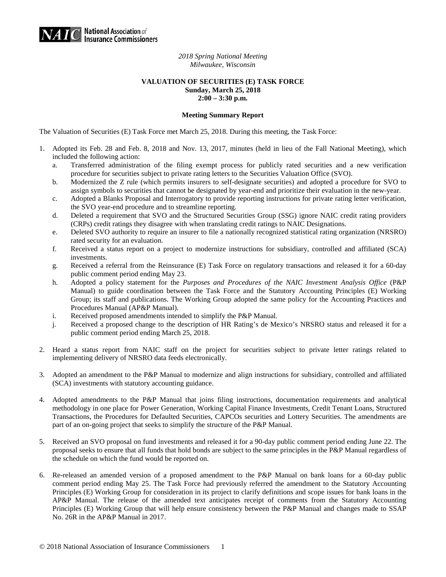

*2018 Spring National Meeting Milwaukee, Wisconsin* 

## **VALUATION OF SECURITIES (E) TASK FORCE Sunday, March 25, 2018 2:00 – 3:30 p.m.**

## **Meeting Summary Report**

The Valuation of Securities (E) Task Force met March 25, 2018. During this meeting, the Task Force:

- 1. Adopted its Feb. 28 and Feb. 8, 2018 and Nov. 13, 2017, minutes (held in lieu of the Fall National Meeting), which included the following action:
	- a. Transferred administration of the filing exempt process for publicly rated securities and a new verification procedure for securities subject to private rating letters to the Securities Valuation Office (SVO).
	- b. Modernized the Z rule (which permits insurers to self-designate securities) and adopted a procedure for SVO to assign symbols to securities that cannot be designated by year-end and prioritize their evaluation in the new-year.
	- c. Adopted a Blanks Proposal and Interrogatory to provide reporting instructions for private rating letter verification, the SVO year-end procedure and to streamline reporting.
	- d. Deleted a requirement that SVO and the Structured Securities Group (SSG) ignore NAIC credit rating providers (CRPs) credit ratings they disagree with when translating credit ratings to NAIC Designations.
	- e. Deleted SVO authority to require an insurer to file a nationally recognized statistical rating organization (NRSRO) rated security for an evaluation.
	- f. Received a status report on a project to modernize instructions for subsidiary, controlled and affiliated (SCA) investments.
	- g. Received a referral from the Reinsurance (E) Task Force on regulatory transactions and released it for a 60-day public comment period ending May 23.
	- h. Adopted a policy statement for the *Purposes and Procedures of the NAIC Investment Analysis Office* (P&P Manual) to guide coordination between the Task Force and the Statutory Accounting Principles (E) Working Group; its staff and publications. The Working Group adopted the same policy for the Accounting Practices and Procedures Manual (AP&P Manual).
	- i. Received proposed amendments intended to simplify the P&P Manual.
	- j. Received a proposed change to the description of HR Rating's de Mexico's NRSRO status and released it for a public comment period ending March 25, 2018.
- 2. Heard a status report from NAIC staff on the project for securities subject to private letter ratings related to implementing delivery of NRSRO data feeds electronically.
- 3. Adopted an amendment to the P&P Manual to modernize and align instructions for subsidiary, controlled and affiliated (SCA) investments with statutory accounting guidance.
- 4. Adopted amendments to the P&P Manual that joins filing instructions, documentation requirements and analytical methodology in one place for Power Generation, Working Capital Finance Investments, Credit Tenant Loans, Structured Transactions, the Procedures for Defaulted Securities, CAPCOs securities and Lottery Securities. The amendments are part of an on-going project that seeks to simplify the structure of the P&P Manual.
- 5. Received an SVO proposal on fund investments and released it for a 90-day public comment period ending June 22. The proposal seeks to ensure that all funds that hold bonds are subject to the same principles in the P&P Manual regardless of the schedule on which the fund would be reported on.
- 6. Re-released an amended version of a proposed amendment to the P&P Manual on bank loans for a 60-day public comment period ending May 25. The Task Force had previously referred the amendment to the Statutory Accounting Principles (E) Working Group for consideration in its project to clarify definitions and scope issues for bank loans in the AP&P Manual. The release of the amended text anticipates receipt of comments from the Statutory Accounting Principles (E) Working Group that will help ensure consistency between the P&P Manual and changes made to SSAP No. 26R in the AP&P Manual in 2017.